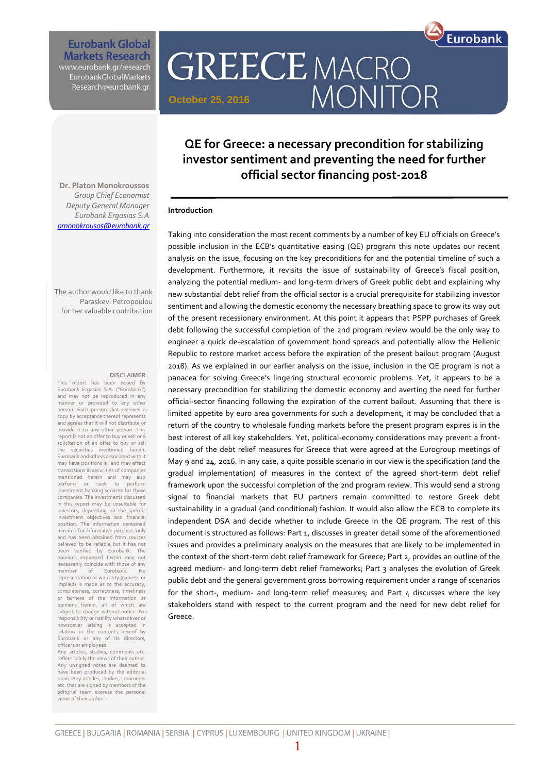Eurobank

**Eurobank Global Markets Research** 

www.eurobank.gr/research<br>EurobankGlobalMarkets Research@eurobank.gr.

# **QE for Greece: a necessary precondition for stabilizing investor sentiment and preventing the need for further official sector financing post-2018**

**MONITOR** 

**GREECE MACRO** 

**Dr. Platon Monokroussos** *Group Chief Economist Deputy General Manager Eurobank Ergasias S.A [pmonokrousos@eurobank.gr](mailto:pmonokrousos@eurobank.gr)*

The author would like to thank Paraskevi Petropoulou for her valuable contribution

#### **DISCLAIMER**

This report has been issued by Eurobank Ergasias S.A. ("Eurobank") and may not be reproduced in any manner or provided to any other person. Each person that receives a copy by acceptance thereof represents and agrees that it will not distribute or provide it to any other person. This report is not an offer to buy or sell or a solicitation of an offer to buy or sell the securities mentioned herein. Eurobank and others associated with it may have positions in, and may effect transactions in securities of companies mentioned herein and may also<br>nerform or seek to perform perform or seek to investment banking services for those companies. The investments discussed in this report may be unsuitable for investors, depending on the specific investment objectives and financial position. The information contained herein is for informative purposes only and has been obtained from sources believed to be reliable but it has not been verified by Eurobank. The opinions expressed herein may not necessarily coincide with those of any<br>member of Furobank No. member of Eurobank. No representation or warranty (express or implied) is made as to the accuracy, completeness, correctness, timeliness or fairness of the information or opinions herein, all of which are subject to change without notice. No responsibility or liability whatsoever or howsoever arising is accepted in relation to the contents hereof by Eurobank or any of its directors, officers or employees.

Any articles, studies, comments etc. reflect solely the views of their author. Any unsigned notes are deemed to have been produced by the editorial team. Any articles, studies, comments etc. that are signed by members of the editorial team express the personal views of their author.

#### **Introduction**

**October 25, 2016**

Taking into consideration the most recent comments by a number of key EU officials on Greece's possible inclusion in the ECB's quantitative easing (QE) program this note updates our recent analysis on the issue, focusing on the key preconditions for and the potential timeline of such a development. Furthermore, it revisits the issue of sustainability of Greece's fiscal position, analyzing the potential medium- and long-term drivers of Greek public debt and explaining why new substantial debt relief from the official sector is a crucial prerequisite for stabilizing investor sentiment and allowing the domestic economy the necessary breathing space to grow its way out of the present recessionary environment. At this point it appears that PSPP purchases of Greek debt following the successful completion of the 2nd program review would be the only way to engineer a quick de-escalation of government bond spreads and potentially allow the Hellenic Republic to restore market access before the expiration of the present bailout program (August 2018). As we explained in our earlier analysis on the issue, inclusion in the QE program is not a panacea for solving Greece's lingering structural economic problems. Yet, it appears to be a necessary precondition for stabilizing the domestic economy and averting the need for further official-sector financing following the expiration of the current bailout. Assuming that there is limited appetite by euro area governments for such a development, it may be concluded that a return of the country to wholesale funding markets before the present program expires is in the best interest of all key stakeholders. Yet, political-economy considerations may prevent a frontloading of the debt relief measures for Greece that were agreed at the Eurogroup meetings of May 9 and 24, 2016. In any case, a quite possible scenario in our view is the specification (and the gradual implementation) of measures in the context of the agreed short-term debt relief framework upon the successful completion of the 2nd program review. This would send a strong signal to financial markets that EU partners remain committed to restore Greek debt sustainability in a gradual (and conditional) fashion. It would also allow the ECB to complete its independent DSA and decide whether to include Greece in the QE program. The rest of this document is structured as follows: Part 1, discusses in greater detail some of the aforementioned issues and provides a preliminary analysis on the measures that are likely to be implemented in the context of the short-term debt relief framework for Greece; Part 2, provides an outline of the agreed medium- and long-term debt relief frameworks; Part 3 analyses the evolution of Greek public debt and the general government gross borrowing requirement under a range of scenarios for the short-, medium- and long-term relief measures; and Part  $\mu$  discusses where the key stakeholders stand with respect to the current program and the need for new debt relief for Greece.

1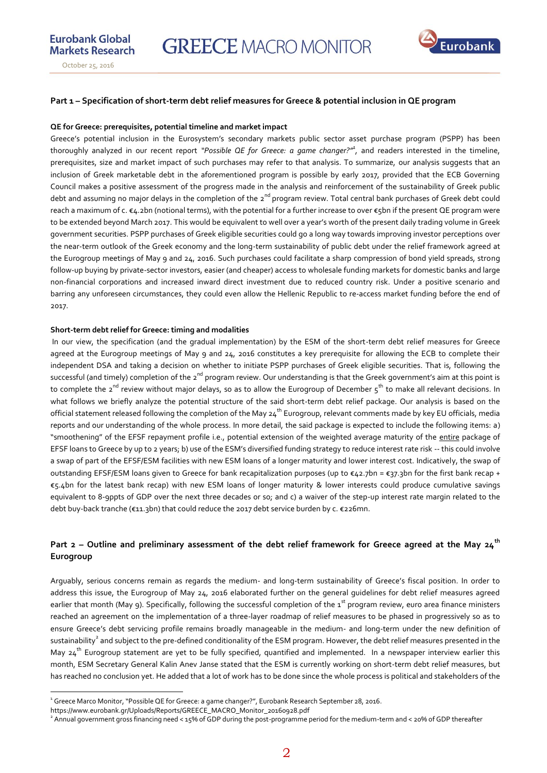**Eurobank Global** 



#### **Part 1 – Specification of short-term debt relief measures for Greece & potential inclusion in QE program**

#### **QE for Greece: prerequisites, potential timeline and market impact**

Greece's potential inclusion in the Eurosystem's secondary markets public sector asset purchase program (PSPP) has been thoroughly analyzed in our recent report "Possible QE for Greece: a game changer?"<sup>4</sup>, and readers interested in the timeline, prerequisites, size and market impact of such purchases may refer to that analysis. To summarize, our analysis suggests that an inclusion of Greek marketable debt in the aforementioned program is possible by early 2017, provided that the ECB Governing Council makes a positive assessment of the progress made in the analysis and reinforcement of the sustainability of Greek public debt and assuming no major delays in the completion of the 2<sup>nd</sup> program review. Total central bank purchases of Greek debt could reach a maximum of c. €4.2bn (notional terms), with the potential for a further increase to over €5bn if the present QE program were to be extended beyond March 2017. This would be equivalent to well over a year's worth of the present daily trading volume in Greek government securities. PSPP purchases of Greek eligible securities could go a long way towards improving investor perceptions over the near-term outlook of the Greek economy and the long-term sustainability of public debt under the relief framework agreed at the Eurogroup meetings of May 9 and 24, 2016. Such purchases could facilitate a sharp compression of bond yield spreads, strong follow-up buying by private-sector investors, easier (and cheaper) access to wholesale funding markets for domestic banks and large non-financial corporations and increased inward direct investment due to reduced country risk. Under a positive scenario and barring any unforeseen circumstances, they could even allow the Hellenic Republic to re-access market funding before the end of 2017.

#### **Short-term debt relief for Greece: timing and modalities**

In our view, the specification (and the gradual implementation) by the ESM of the short-term debt relief measures for Greece agreed at the Eurogroup meetings of May 9 and 24, 2016 constitutes a key prerequisite for allowing the ECB to complete their independent DSA and taking a decision on whether to initiate PSPP purchases of Greek eligible securities. That is, following the successful (and timely) completion of the 2<sup>nd</sup> program review. Our understanding is that the Greek government's aim at this point is to complete the 2<sup>nd</sup> review without major delays, so as to allow the Eurogroup of December 5<sup>th</sup> to make all relevant decisions. In what follows we briefly analyze the potential structure of the said short-term debt relief package. Our analysis is based on the official statement released following the completion of the May  $24^{th}$  Eurogroup, relevant comments made by key EU officials, media reports and our understanding of the whole process. In more detail, the said package is expected to include the following items: a) "smoothening" of the EFSF repayment profile i.e., potential extension of the weighted average maturity of the entire package of EFSF loans to Greece by up to 2 years; b) use of the ESM's diversified funding strategy to reduce interest rate risk -- this could involve a swap of part of the EFSF/ESM facilities with new ESM loans of a longer maturity and lower interest cost. Indicatively, the swap of outstanding EFSF/ESM loans given to Greece for bank recapitalization purposes (up to €42.7bn = €37.3bn for the first bank recap + €5.4bn for the latest bank recap) with new ESM loans of longer maturity & lower interests could produce cumulative savings equivalent to 8-9ppts of GDP over the next three decades or so; and c) a waiver of the step-up interest rate margin related to the debt buy-back tranche (€11.3bn) that could reduce the 2017 debt service burden by c. €226mn.

# **Part 2 – Outline and preliminary assessment of the debt relief framework for Greece agreed at the May 24th Eurogroup**

Arguably, serious concerns remain as regards the medium- and long-term sustainability of Greece's fiscal position. In order to address this issue, the Eurogroup of May 24, 2016 elaborated further on the general guidelines for debt relief measures agreed earlier that month (May 9). Specifically, following the successful completion of the 1<sup>st</sup> program review, euro area finance ministers reached an agreement on the implementation of a three-layer roadmap of relief measures to be phased in progressively so as to ensure Greece's debt servicing profile remains broadly manageable in the medium- and long-term under the new definition of sustainability $^2$  and subject to the pre-defined conditionality of the ESM program. However, the debt relief measures presented in the May  $24^{th}$  Eurogroup statement are yet to be fully specified, quantified and implemented. In a newspaper interview earlier this month, ESM Secretary General Kalin Anev Janse stated that the ESM is currently working on short-term debt relief measures, but has reached no conclusion yet. He added that a lot of work has to be done since the whole process is political and stakeholders of the

 $\overline{a}$ 

<sup>1</sup> Greece Marco Monitor, "Possible QE for Greece: a game changer?", Eurobank Research September 28, 2016.

https://www.eurobank.gr/Uploads/Reports/GREECE\_MACRO\_Monitor\_20160928.pdf

<sup>2</sup> Annual government gross financing need < 15% of GDP during the post-programme period for the medium-term and < 20% of GDP thereafter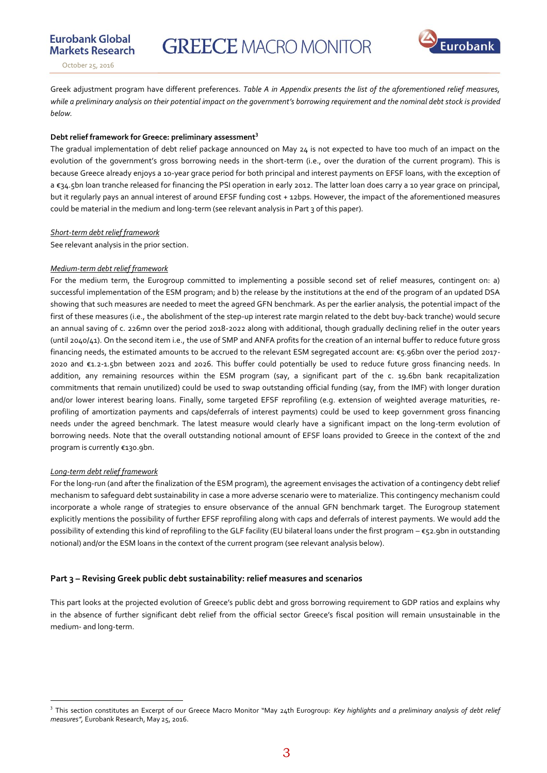Eurobank



**Eurobank Global** 

Greek adjustment program have different preferences. *Table A in Appendix presents the list of the aforementioned relief measures, while a preliminary analysis on their potential impact on the government's borrowing requirement and the nominal debt stock is provided below.* 

#### **Debt relief framework for Greece: preliminary assessment<sup>3</sup>**

The gradual implementation of debt relief package announced on May 24 is not expected to have too much of an impact on the evolution of the government's gross borrowing needs in the short-term (i.e., over the duration of the current program). This is because Greece already enjoys a 10-year grace period for both principal and interest payments on EFSF loans, with the exception of a €34.5bn loan tranche released for financing the PSI operation in early 2012. The latter loan does carry a 10 year grace on principal, but it regularly pays an annual interest of around EFSF funding cost + 12bps. However, the impact of the aforementioned measures could be material in the medium and long-term (see relevant analysis in Part 3 of this paper).

#### *Short-term debt relief framework*

See relevant analysis in the prior section.

#### *Medium-term debt relief framework*

For the medium term, the Eurogroup committed to implementing a possible second set of relief measures, contingent on: a) successful implementation of the ESM program; and b) the release by the institutions at the end of the program of an updated DSA showing that such measures are needed to meet the agreed GFN benchmark. As per the earlier analysis, the potential impact of the first of these measures (i.e., the abolishment of the step-up interest rate margin related to the debt buy-back tranche) would secure an annual saving of c. 226mn over the period 2018-2022 along with additional, though gradually declining relief in the outer years (until 2040/41). On the second item i.e., the use of SMP and ANFA profits for the creation of an internal buffer to reduce future gross financing needs, the estimated amounts to be accrued to the relevant ESM segregated account are: €5.96bn over the period 2017- 2020 and €1.2-1.5bn between 2021 and 2026. This buffer could potentially be used to reduce future gross financing needs. In addition, any remaining resources within the ESM program (say, a significant part of the c. 19.6bn bank recapitalization commitments that remain unutilized) could be used to swap outstanding official funding (say, from the IMF) with longer duration and/or lower interest bearing loans. Finally, some targeted EFSF reprofiling (e.g. extension of weighted average maturities, reprofiling of amortization payments and caps/deferrals of interest payments) could be used to keep government gross financing needs under the agreed benchmark. The latest measure would clearly have a significant impact on the long-term evolution of borrowing needs. Note that the overall outstanding notional amount of EFSF loans provided to Greece in the context of the 2nd program is currently €130.9bn.

#### *Long-term debt relief framework*

 $\overline{a}$ 

For the long-run (and after the finalization of the ESM program), the agreement envisages the activation of a contingency debt relief mechanism to safeguard debt sustainability in case a more adverse scenario were to materialize. This contingency mechanism could incorporate a whole range of strategies to ensure observance of the annual GFN benchmark target. The Eurogroup statement explicitly mentions the possibility of further EFSF reprofiling along with caps and deferrals of interest payments. We would add the possibility of extending this kind of reprofiling to the GLF facility (EU bilateral loans under the first program – €52.9bn in outstanding notional) and/or the ESM loans in the context of the current program (see relevant analysis below).

#### **Part 3 – Revising Greek public debt sustainability: relief measures and scenarios**

This part looks at the projected evolution of Greece's public debt and gross borrowing requirement to GDP ratios and explains why in the absence of further significant debt relief from the official sector Greece's fiscal position will remain unsustainable in the medium- and long-term.

<sup>&</sup>lt;sup>3</sup> This section constitutes an Excerpt of our Greece Macro Monitor "May 24th Eurogroup: *Key highlights and a preliminary analysis of debt relief measures",* Eurobank Research, May 25, 2016.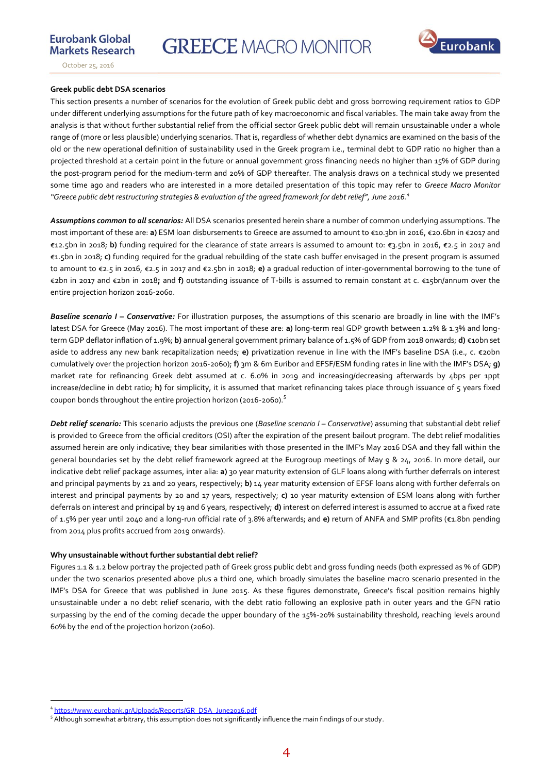

**Eurobank Global** 

#### **Greek public debt DSA scenarios**

This section presents a number of scenarios for the evolution of Greek public debt and gross borrowing requirement ratios to GDP under different underlying assumptions for the future path of key macroeconomic and fiscal variables. The main take away from the analysis is that without further substantial relief from the official sector Greek public debt will remain unsustainable under a whole range of (more or less plausible) underlying scenarios. That is, regardless of whether debt dynamics are examined on the basis of the old or the new operational definition of sustainability used in the Greek program i.e., terminal debt to GDP ratio no higher than a projected threshold at a certain point in the future or annual government gross financing needs no higher than 15% of GDP during the post-program period for the medium-term and 20% of GDP thereafter. The analysis draws on a technical study we presented some time ago and readers who are interested in a more detailed presentation of this topic may refer to *Greece Macro Monitor "Greece public debt restructuring strategies & evaluation of the agreed framework for debt relief", June 2016.<sup>4</sup>*

*Assumptions common to all scenarios:* All DSA scenarios presented herein share a number of common underlying assumptions. The most important of these are: **a)** ESM loan disbursements to Greece are assumed to amount to €10.3bn in 2016, €20.6bn in €2017 and €12.5bn in 2018; **b)** funding required for the clearance of state arrears is assumed to amount to: €3.5bn in 2016, €2.5 in 2017 and €1.5bn in 2018; **c)** funding required for the gradual rebuilding of the state cash buffer envisaged in the present program is assumed to amount to €2.5 in 2016, €2.5 in 2017 and €2.5bn in 2018; **e)** a gradual reduction of inter-governmental borrowing to the tune of €2bn in 2017 and €2bn in 2018**;** and **f)** outstanding issuance of T-bills is assumed to remain constant at c. €15bn/annum over the entire projection horizon 2016-2060.

*Baseline scenario I – Conservative:* For illustration purposes, the assumptions of this scenario are broadly in line with the IMF's latest DSA for Greece (May 2016). The most important of these are: **a)** long-term real GDP growth between 1.2% & 1.3% and longterm GDP deflator inflation of 1.9%; **b)** annual general government primary balance of 1.5% of GDP from 2018 onwards; **d)** €10bn set aside to address any new bank recapitalization needs; **e)** privatization revenue in line with the IMF's baseline DSA (i.e., c. €20bn cumulatively over the projection horizon 2016-2060); **f)** 3m & 6m Euribor and EFSF/ESM funding rates in line with the IMF's DSA; **g)** market rate for refinancing Greek debt assumed at c. 6.0% in 2019 and increasing/decreasing afterwards by 4bps per 1ppt increase/decline in debt ratio; **h)** for simplicity, it is assumed that market refinancing takes place through issuance of 5 years fixed coupon bonds throughout the entire projection horizon (2016-2060).<sup>5</sup>

*Debt relief scenario:* This scenario adjusts the previous one (Baseline scenario I - Conservative) assuming that substantial debt relief is provided to Greece from the official creditors (OSI) after the expiration of the present bailout program. The debt relief modalities assumed herein are only indicative; they bear similarities with those presented in the IMF's May 2016 DSA and they fall within the general boundaries set by the debt relief framework agreed at the Eurogroup meetings of May 9 & 24, 2016. In more detail, our indicative debt relief package assumes, inter alia: **a)** 30 year maturity extension of GLF loans along with further deferrals on interest and principal payments by 21 and 20 years, respectively; **b)** 14 year maturity extension of EFSF loans along with further deferrals on interest and principal payments by 20 and 17 years, respectively; **c)** 10 year maturity extension of ESM loans along with further deferrals on interest and principal by 19 and 6 years, respectively; **d)** interest on deferred interest is assumed to accrue at a fixed rate of 1.5% per year until 2040 and a long-run official rate of 3.8% afterwards; and **e)** return of ANFA and SMP profits (€1.8bn pending from 2014 plus profits accrued from 2019 onwards).

#### **Why unsustainable without further substantial debt relief?**

Figures 1.1 & 1.2 below portray the projected path of Greek gross public debt and gross funding needs (both expressed as % of GDP) under the two scenarios presented above plus a third one, which broadly simulates the baseline macro scenario presented in the IMF's DSA for Greece that was published in June 2015. As these figures demonstrate, Greece's fiscal position remains highly unsustainable under a no debt relief scenario, with the debt ratio following an explosive path in outer years and the GFN ratio surpassing by the end of the coming decade the upper boundary of the 15%-20% sustainability threshold, reaching levels around 60% by the end of the projection horizon (2060).

 4 [https://www.eurobank.gr/Uploads/Reports/GR\\_DSA\\_June2016.pdf](https://www.eurobank.gr/Uploads/Reports/GR_DSA_June2016.pdf)

<sup>5</sup> Although somewhat arbitrary, this assumption does not significantly influence the main findings of our study.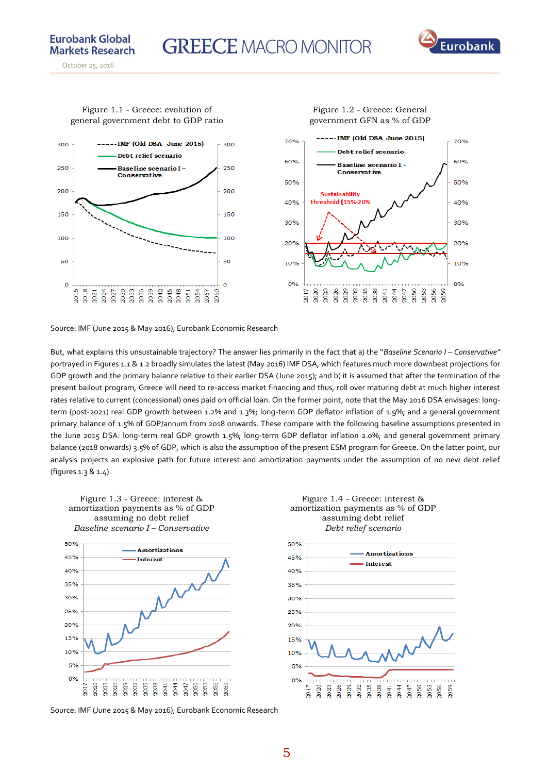

**Eurobank Global** 



Figure 1.1 - Greece: evolution of general government debt to GDP ratio

Source: IMF (June 2015 & May 2016); Eurobank Economic Research

But, what explains this unsustainable trajectory? The answer lies primarily in the fact that a) the "*Baseline Scenario I – Conservative"*  portrayed in Figures 1.1 & 1.2 broadly simulates the latest (May 2016) IMF DSA, which features much more downbeat projections for GDP growth and the primary balance relative to their earlier DSA (June 2015); and b) it is assumed that after the termination of the present bailout program, Greece will need to re-access market financing and thus, roll over maturing debt at much higher interest rates relative to current (concessional) ones paid on official loan. On the former point, note that the May 2016 DSA envisages: longterm (post-2021) real GDP growth between 1.2% and 1.3%; long-term GDP deflator inflation of 1.9%; and a general government primary balance of 1.5% of GDP/annum from 2018 onwards. These compare with the following baseline assumptions presented in the June 2015 DSA: long-term real GDP growth 1.5%; long-term GDP deflator inflation 2.0%; and general government primary balance (2018 onwards) 3.5% of GDP, which is also the assumption of the present ESM program for Greece. On the latter point, our analysis projects an explosive path for future interest and amortization payments under the assumption of no new debt relief (figures 1.3 & 1.4).



Figure 1.3 - Greece: interest &

Figure 1.4 - Greece: interest & amortization payments as % of GDP assuming debt relief *Debt relief scenario* 

Figure 1.2 - Greece: General



Source: IMF (June 2015 & May 2016); Eurobank Economic Research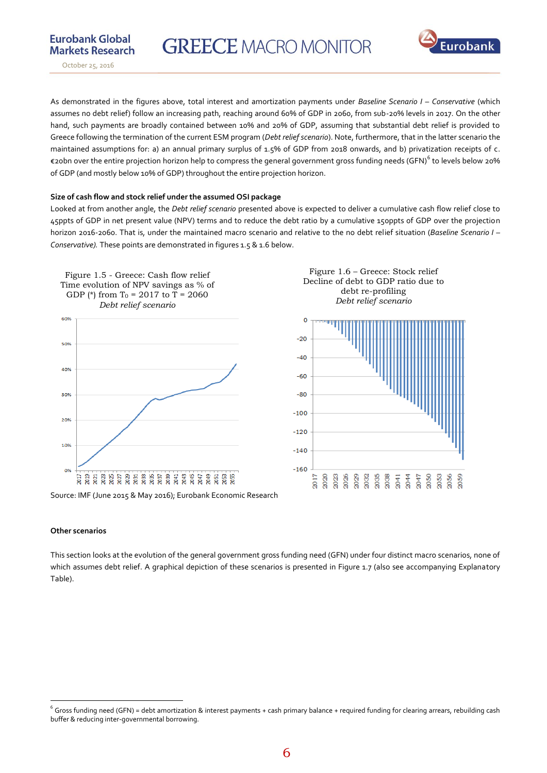



October 25, 2016

As demonstrated in the figures above, total interest and amortization payments under *Baseline Scenario I – Conservative* (which assumes no debt relief) follow an increasing path, reaching around 60% of GDP in 2060, from sub-20% levels in 2017. On the other hand, such payments are broadly contained between 10% and 20% of GDP, assuming that substantial debt relief is provided to Greece following the termination of the current ESM program (*Debt relief scenario*). Note, furthermore, that in the latter scenario the maintained assumptions for: a) an annual primary surplus of 1.5% of GDP from 2018 onwards, and b) privatization receipts of c. €20bn over the entire projection horizon help to compress the general government gross funding needs (GFN) $^6$  to levels below 20% of GDP (and mostly below 10% of GDP) throughout the entire projection horizon.

#### **Size of cash flow and stock relief under the assumed OSI package**

Looked at from another angle, the *Debt relief scenario* presented above is expected to deliver a cumulative cash flow relief close to 45ppts of GDP in net present value (NPV) terms and to reduce the debt ratio by a cumulative 150ppts of GDP over the projection horizon 2016-2060. That is, under the maintained macro scenario and relative to the no debt relief situation (*Baseline Scenario I – Conservative).* These points are demonstrated in figures 1.5 & 1.6 below.



Source: IMF (June 2015 & May 2016); Eurobank Economic Research

#### **Other scenarios**

 $\overline{a}$ 

This section looks at the evolution of the general government gross funding need (GFN) under four distinct macro scenarios, none of which assumes debt relief. A graphical depiction of these scenarios is presented in Figure 1.7 (also see accompanying Explanatory Table).

 $6$  Gross funding need (GFN) = debt amortization & interest payments + cash primary balance + required funding for clearing arrears, rebuilding cash buffer & reducing inter-governmental borrowing.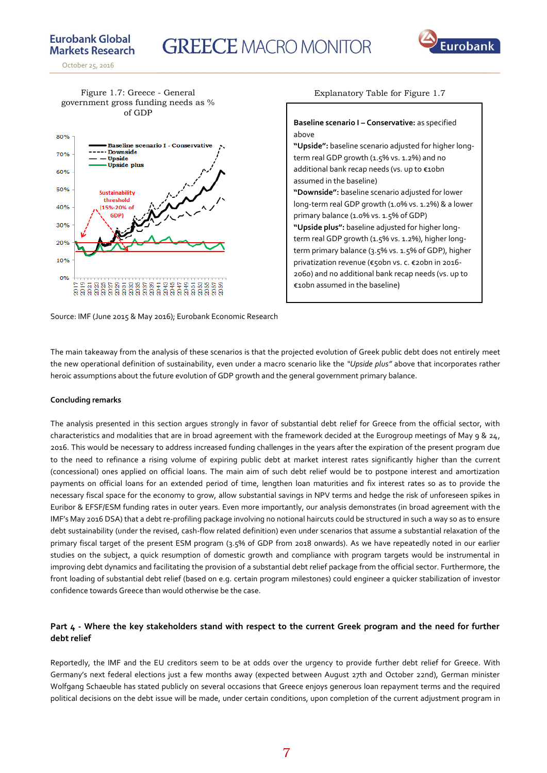# **GREECE MACRO MONITOR**



**Markets Research** October 25, 2016

**Eurobank Global** 

Figure 1.7: Greece - General government gross funding needs as % of GDP



Explanatory Table for Figure 1.7

**Baseline scenario I – Conservative:** as specified above **"Upside":** baseline scenario adjusted for higher longterm real GDP growth (1.5% vs. 1.2%) and no additional bank recap needs (vs. up to €10bn assumed in the baseline) **"Downside":** baseline scenario adjusted for lower long-term real GDP growth (1.0% vs. 1.2%) & a lower primary balance (1.0% vs. 1.5% of GDP) **"Upside plus":** baseline adjusted for higher longterm real GDP growth (1.5% vs. 1.2%), higher longterm primary balance (3.5% vs. 1.5% of GDP), higher privatization revenue (€50bn vs. c. €20bn in 2016- 2060) and no additional bank recap needs (vs. up to €10bn assumed in the baseline)

Source: IMF (June 2015 & May 2016); Eurobank Economic Research

The main takeaway from the analysis of these scenarios is that the projected evolution of Greek public debt does not entirely meet the new operational definition of sustainability, even under a macro scenario like the *"Upside plus"* above that incorporates rather heroic assumptions about the future evolution of GDP growth and the general government primary balance.

#### **Concluding remarks**

The analysis presented in this section argues strongly in favor of substantial debt relief for Greece from the official sector, with characteristics and modalities that are in broad agreement with the framework decided at the Eurogroup meetings of May 9 & 24, 2016. This would be necessary to address increased funding challenges in the years after the expiration of the present program due to the need to refinance a rising volume of expiring public debt at market interest rates significantly higher than the current (concessional) ones applied on official loans. The main aim of such debt relief would be to postpone interest and amortization payments on official loans for an extended period of time, lengthen loan maturities and fix interest rates so as to provide the necessary fiscal space for the economy to grow, allow substantial savings in NPV terms and hedge the risk of unforeseen spikes in Euribor & EFSF/ESM funding rates in outer years. Even more importantly, our analysis demonstrates (in broad agreement with the IMF's May 2016 DSA) that a debt re-profiling package involving no notional haircuts could be structured in such a way so as to ensure debt sustainability (under the revised, cash-flow related definition) even under scenarios that assume a substantial relaxation of the primary fiscal target of the present ESM program (3.5% of GDP from 2018 onwards). As we have repeatedly noted in our earlier studies on the subject, a quick resumption of domestic growth and compliance with program targets would be instrumental in improving debt dynamics and facilitating the provision of a substantial debt relief package from the official sector. Furthermore, the front loading of substantial debt relief (based on e.g. certain program milestones) could engineer a quicker stabilization of investor confidence towards Greece than would otherwise be the case.

## **Part 4 - Where the key stakeholders stand with respect to the current Greek program and the need for further debt relief**

Reportedly, the IMF and the EU creditors seem to be at odds over the urgency to provide further debt relief for Greece. With Germany's next federal elections just a few months away (expected between August 27th and October 22nd), German minister Wolfgang Schaeuble has stated publicly on several occasions that Greece enjoys generous loan repayment terms and the required political decisions on the debt issue will be made, under certain conditions, upon completion of the current adjustment program in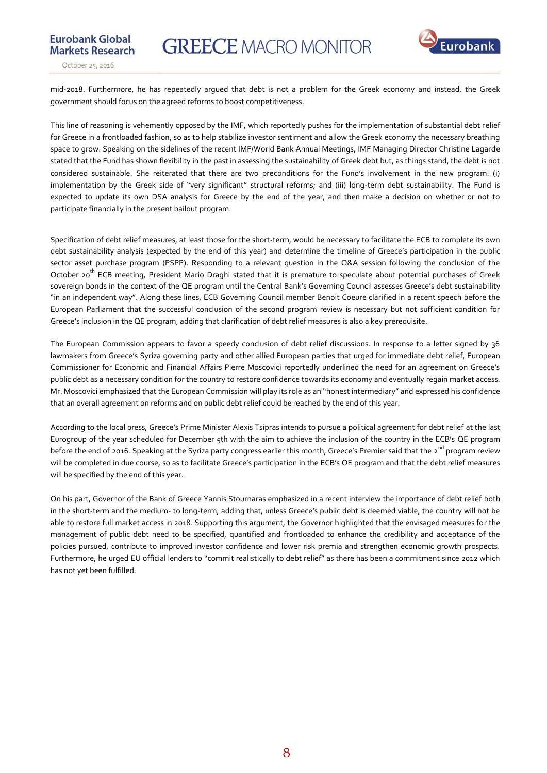

**Eurobank Global** 

mid-2018. Furthermore, he has repeatedly argued that debt is not a problem for the Greek economy and instead, the Greek government should focus on the agreed reforms to boost competitiveness.

This line of reasoning is vehemently opposed by the IMF, which reportedly pushes for the implementation of substantial debt relief for Greece in a frontloaded fashion, so as to help stabilize investor sentiment and allow the Greek economy the necessary breathing space to grow. Speaking on the sidelines of the recent IMF/World Bank Annual Meetings, IMF Managing Director Christine Lagarde stated that the Fund has shown flexibility in the past in assessing the sustainability of Greek debt but, as things stand, the debt is not considered sustainable. She reiterated that there are two preconditions for the Fund's involvement in the new program: (i) implementation by the Greek side of "very significant" structural reforms; and (iii) long-term debt sustainability. The Fund is expected to update its own DSA analysis for Greece by the end of the year, and then make a decision on whether or not to participate financially in the present bailout program.

Specification of debt relief measures, at least those for the short-term, would be necessary to facilitate the ECB to complete its own debt sustainability analysis (expected by the end of this year) and determine the timeline of Greece's participation in the public sector asset purchase program (PSPP). Responding to a relevant question in the Q&A session following the conclusion of the October 20<sup>th</sup> ECB meeting, President Mario Draghi stated that it is premature to speculate about potential purchases of Greek sovereign bonds in the context of the QE program until the Central Bank's Governing Council assesses Greece's debt sustainability "in an independent way". Along these lines, ECB Governing Council member Benoit Coeure clarified in a recent speech before the European Parliament that the successful conclusion of the second program review is necessary but not sufficient condition for Greece's inclusion in the QE program, adding that clarification of debt relief measures is also a key prerequisite.

The European Commission appears to favor a speedy conclusion of debt relief discussions. In response to a letter signed by 36 lawmakers from Greece's Syriza governing party and other allied European parties that urged for immediate debt relief, European Commissioner for Economic and Financial Affairs Pierre Moscovici reportedly underlined the need for an agreement on Greece's public debt as a necessary condition for the country to restore confidence towards its economy and eventually regain market access. Mr. Moscovici emphasized that the European Commission will play its role as an "honest intermediary" and expressed his confidence that an overall agreement on reforms and on public debt relief could be reached by the end of this year.

According to the local press, Greece's Prime Minister Alexis Tsipras intends to pursue a political agreement for debt relief at the last Eurogroup of the year scheduled for December 5th with the aim to achieve the inclusion of the country in the ECB's QE program before the end of 2016. Speaking at the Syriza party congress earlier this month, Greece's Premier said that the 2<sup>nd</sup> program review will be completed in due course, so as to facilitate Greece's participation in the ECB's QE program and that the debt relief measures will be specified by the end of this year.

On his part, Governor of the Bank of Greece Yannis Stournaras emphasized in a recent interview the importance of debt relief both in the short-term and the medium- to long-term, adding that, unless Greece's public debt is deemed viable, the country will not be able to restore full market access in 2018. Supporting this argument, the Governor highlighted that the envisaged measures for the management of public debt need to be specified, quantified and frontloaded to enhance the credibility and acceptance of the policies pursued, contribute to improved investor confidence and lower risk premia and strengthen economic growth prospects. Furthermore, he urged EU official lenders to "commit realistically to debt relief" as there has been a commitment since 2012 which has not yet been fulfilled.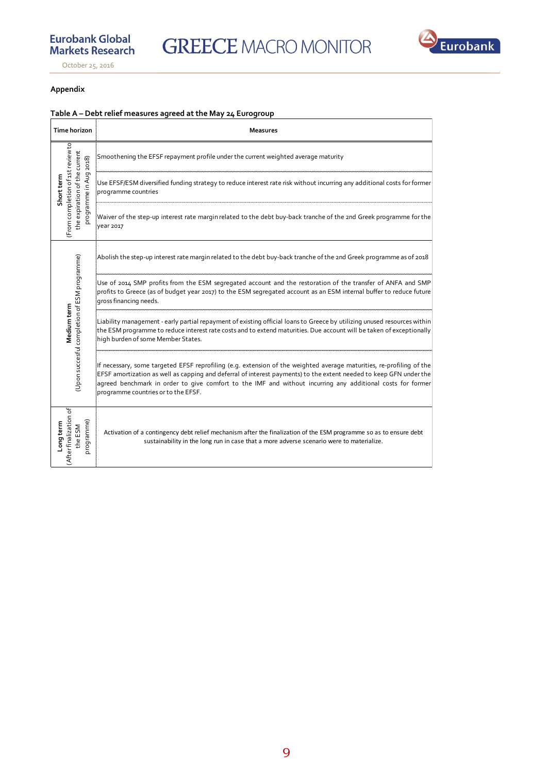# **Eurobank Global Markets Research**

**GREECE MACRO MONITOR** 



٦

October 25, 2016

## **Appendix**

# **Table A – Debt relief measures agreed at the May 24 Eurogroup**

| Time horizon                                                                                                 | <b>Measures</b>                                                                                                                                                                                                                                                                                                                                                                                 |
|--------------------------------------------------------------------------------------------------------------|-------------------------------------------------------------------------------------------------------------------------------------------------------------------------------------------------------------------------------------------------------------------------------------------------------------------------------------------------------------------------------------------------|
| (From completion of 1st review to<br>the expiration of the current<br>2018)<br>programme in Aug<br>Shortterm | Smoothening the EFSF repayment profile under the current weighted average maturity                                                                                                                                                                                                                                                                                                              |
|                                                                                                              | Use EFSF/ESM diversified funding strategy to reduce interest rate risk without incurring any additional costs for former<br>programme countries                                                                                                                                                                                                                                                 |
|                                                                                                              | Waiver of the step-up interest rate margin related to the debt buy-back tranche of the 2nd Greek programme for the<br>year 2017                                                                                                                                                                                                                                                                 |
| (Upon succesful completion of ESM programme)<br>Medium term                                                  | Abolish the step-up interest rate margin related to the debt buy-back tranche of the 2nd Greek programme as of 2018                                                                                                                                                                                                                                                                             |
|                                                                                                              | Use of 2014 SMP profits from the ESM segregated account and the restoration of the transfer of ANFA and SMP<br>profits to Greece (as of budget year 2017) to the ESM segregated account as an ESM internal buffer to reduce future<br>gross financing needs.                                                                                                                                    |
|                                                                                                              | Liability management - early partial repayment of existing official loans to Greece by utilizing unused resources within<br>the ESM programme to reduce interest rate costs and to extend maturities. Due account will be taken of exceptionally<br>high burden of some Member States.                                                                                                          |
|                                                                                                              | If necessary, some targeted EFSF reprofiling (e.g. extension of the weighted average maturities, re-profiling of the<br>EFSF amortization as well as capping and deferral of interest payments) to the extent needed to keep GFN under the<br>agreed benchmark in order to give comfort to the IMF and without incurring any additional costs for former<br>programme countries or to the EFSF. |
| (After finalization of<br>programme)<br>Longterm<br>the ESM                                                  | Activation of a contingency debt relief mechanism after the finalization of the ESM programme so as to ensure debt<br>sustainability in the long run in case that a more adverse scenario were to materialize.                                                                                                                                                                                  |